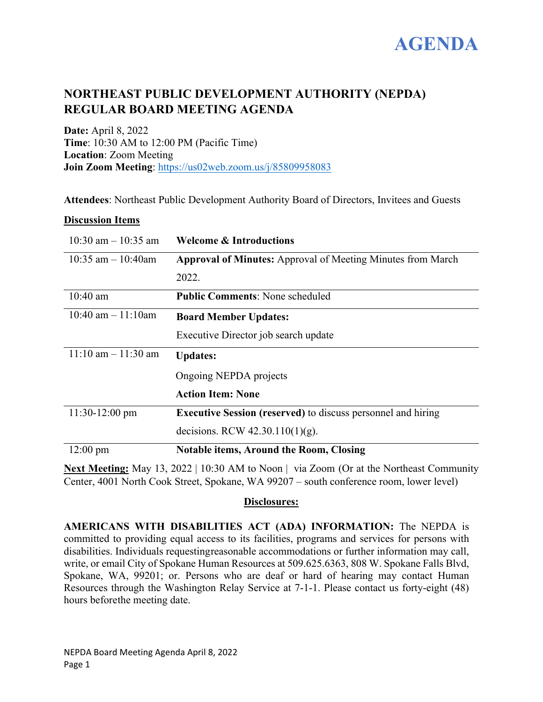

# **NORTHEAST PUBLIC DEVELOPMENT AUTHORITY (NEPDA) REGULAR BOARD MEETING AGENDA**

**Date:** April 8, 2022 **Time**: 10:30 AM to 12:00 PM (Pacific Time) **Location**: Zoom Meeting **Join Zoom Meeting**:<https://us02web.zoom.us/j/85809958083>

**Attendees**: Northeast Public Development Authority Board of Directors, Invitees and Guests

### **Discussion Items**

| $10:30$ am $-10:35$ am | <b>Welcome &amp; Introductions</b>                                  |
|------------------------|---------------------------------------------------------------------|
| 10:35 am $-$ 10:40am   | <b>Approval of Minutes:</b> Approval of Meeting Minutes from March  |
|                        | 2022.                                                               |
| $10:40$ am             | <b>Public Comments: None scheduled</b>                              |
| 10:40 am $-11:10$ am   | <b>Board Member Updates:</b>                                        |
|                        | Executive Director job search update                                |
| $11:10$ am $-11:30$ am | <b>Updates:</b>                                                     |
|                        | Ongoing NEPDA projects                                              |
|                        | <b>Action Item: None</b>                                            |
| $11:30-12:00$ pm       | <b>Executive Session (reserved)</b> to discuss personnel and hiring |
|                        | decisions. RCW $42.30.110(1)(g)$ .                                  |
| $12:00$ pm             | <b>Notable items, Around the Room, Closing</b>                      |

**Next Meeting:** May 13, 2022 | 10:30 AM to Noon | via Zoom (Or at the Northeast Community Center, 4001 North Cook Street, Spokane, WA 99207 – south conference room, lower level)

# **Disclosures:**

**AMERICANS WITH DISABILITIES ACT (ADA) INFORMATION:** The NEPDA is committed to providing equal access to its facilities, programs and services for persons with disabilities. Individuals requestingreasonable accommodations or further information may call, write, or email City of Spokane Human Resources at 509.625.6363, 808 W. Spokane Falls Blvd, Spokane, WA, 99201; or. Persons who are deaf or hard of hearing may contact Human Resources through the Washington Relay Service at 7-1-1. Please contact us forty-eight (48) hours beforethe meeting date.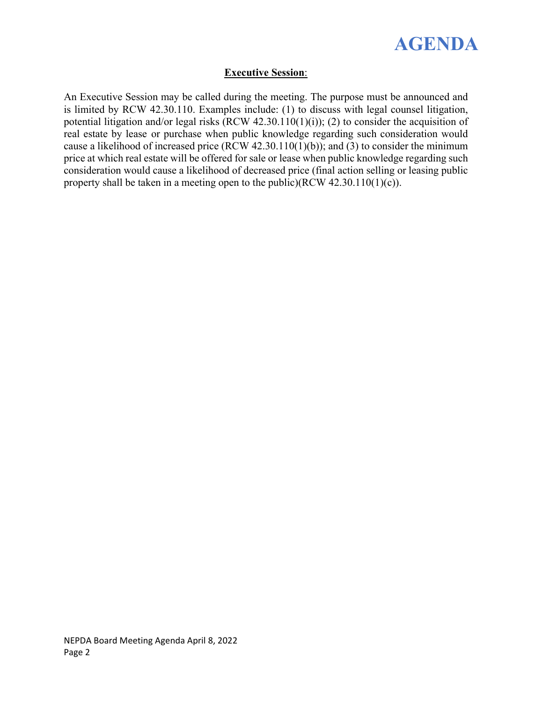

# **Executive Session**:

An Executive Session may be called during the meeting. The purpose must be announced and is limited by RCW 42.30.110. Examples include: (1) to discuss with legal counsel litigation, potential litigation and/or legal risks (RCW 42.30.110(1)(i)); (2) to consider the acquisition of real estate by lease or purchase when public knowledge regarding such consideration would cause a likelihood of increased price (RCW 42.30.110(1)(b)); and (3) to consider the minimum price at which real estate will be offered for sale or lease when public knowledge regarding such consideration would cause a likelihood of decreased price (final action selling or leasing public property shall be taken in a meeting open to the public)(RCW 42.30.110(1)(c)).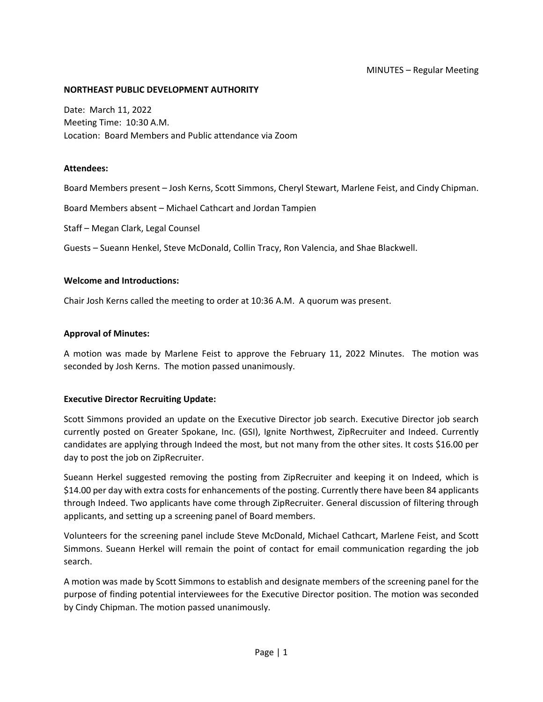#### **NORTHEAST PUBLIC DEVELOPMENT AUTHORITY**

Date: March 11, 2022 Meeting Time: 10:30 A.M. Location: Board Members and Public attendance via Zoom

#### **Attendees:**

Board Members present – Josh Kerns, Scott Simmons, Cheryl Stewart, Marlene Feist, and Cindy Chipman.

Board Members absent – Michael Cathcart and Jordan Tampien

Staff – Megan Clark, Legal Counsel

Guests – Sueann Henkel, Steve McDonald, Collin Tracy, Ron Valencia, and Shae Blackwell.

#### **Welcome and Introductions:**

Chair Josh Kerns called the meeting to order at 10:36 A.M. A quorum was present.

#### **Approval of Minutes:**

A motion was made by Marlene Feist to approve the February 11, 2022 Minutes. The motion was seconded by Josh Kerns. The motion passed unanimously.

#### **Executive Director Recruiting Update:**

Scott Simmons provided an update on the Executive Director job search. Executive Director job search currently posted on Greater Spokane, Inc. (GSI), Ignite Northwest, ZipRecruiter and Indeed. Currently candidates are applying through Indeed the most, but not many from the other sites. It costs \$16.00 per day to post the job on ZipRecruiter.

Sueann Herkel suggested removing the posting from ZipRecruiter and keeping it on Indeed, which is \$14.00 per day with extra costs for enhancements of the posting. Currently there have been 84 applicants through Indeed. Two applicants have come through ZipRecruiter. General discussion of filtering through applicants, and setting up a screening panel of Board members.

Volunteers for the screening panel include Steve McDonald, Michael Cathcart, Marlene Feist, and Scott Simmons. Sueann Herkel will remain the point of contact for email communication regarding the job search.

A motion was made by Scott Simmons to establish and designate members of the screening panel for the purpose of finding potential interviewees for the Executive Director position. The motion was seconded by Cindy Chipman. The motion passed unanimously.